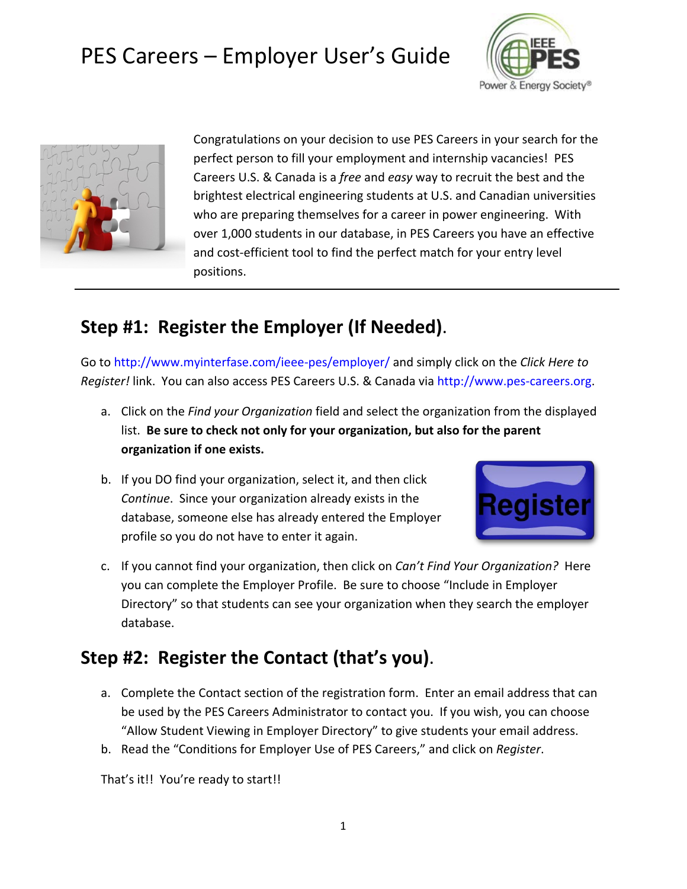



Congratulations on your decision to use PES Careers in your search for the perfect person to fill your employment and internship vacancies! PES Careers U.S. & Canada is a *free* and *easy* way to recruit the best and the brightest electrical engineering students at U.S. and Canadian universities who are preparing themselves for a career in power engineering. With over 1,000 students in our database, in PES Careers you have an effective and cost-efficient tool to find the perfect match for your entry level positions.

### **Step #1: Register the Employer (If Needed)**.

Go to<http://www.myinterfase.com/ieee-pes/employer/> and simply click on the *Click Here to Register!* link. You can also access PES Careers U.S. & Canada via [http://www.pes-careers.org.](http://www.pes-careers.org/)

- a. Click on the *Find your Organization* field and select the organization from the displayed list. **Be sure to check not only for your organization, but also for the parent organization if one exists.**
- b. If you DO find your organization, select it, and then click *Continue*. Since your organization already exists in the database, someone else has already entered the Employer profile so you do not have to enter it again.



c. If you cannot find your organization, then click on *Can't Find Your Organization?* Here you can complete the Employer Profile. Be sure to choose "Include in Employer Directory" so that students can see your organization when they search the employer database.

### **Step #2: Register the Contact (that's you)**.

- a. Complete the Contact section of the registration form. Enter an email address that can be used by the PES Careers Administrator to contact you. If you wish, you can choose "Allow Student Viewing in Employer Directory" to give students your email address.
- b. Read the "Conditions for Employer Use of PES Careers," and click on *Register*.

That's it!! You're ready to start!!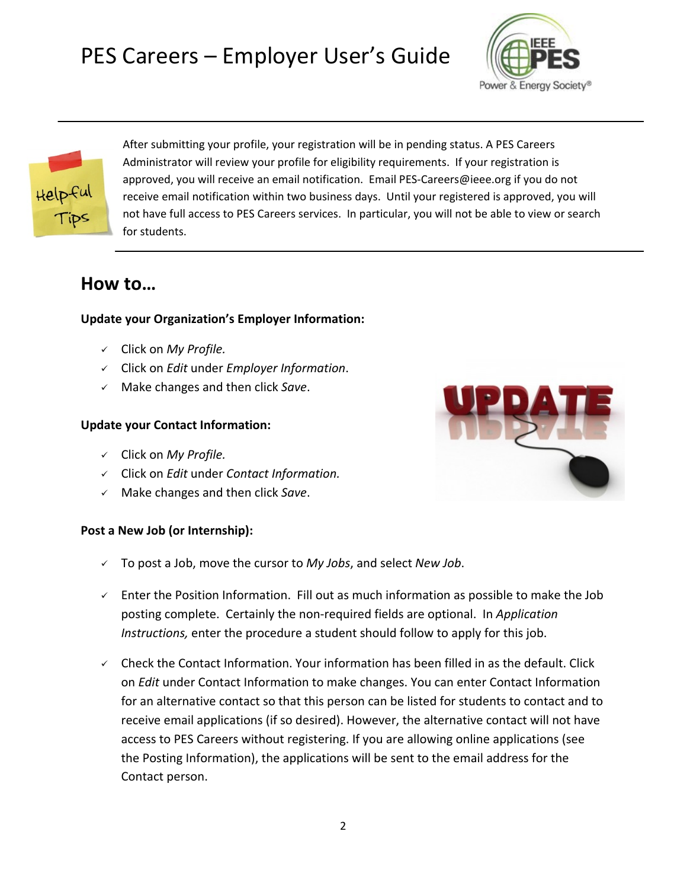



After submitting your profile, your registration will be in pending status. A PES Careers Administrator will review your profile for eligibility requirements. If your registration is approved, you will receive an email notification. Email PES-Careers@ieee.org if you do not receive email notification within two business days. Until your registered is approved, you will not have full access to PES Careers services. In particular, you will not be able to view or search for students.

### **How to…**

#### **Update your Organization's Employer Information:**

- Click on *My Profile.*
- Click on *Edit* under *Employer Information*.
- Make changes and then click *Save*.

#### **Update your Contact Information:**

- Click on *My Profile.*
- Click on *Edit* under *Contact Information.*
- Make changes and then click *Save*.

#### **Post a New Job (or Internship):**

- To post a Job, move the cursor to *My Jobs*, and select *New Job*.
- $\checkmark$  Enter the Position Information. Fill out as much information as possible to make the Job posting complete. Certainly the non-required fields are optional. In *Application Instructions,* enter the procedure a student should follow to apply for this job.
- $\checkmark$  Check the Contact Information. Your information has been filled in as the default. Click on *Edit* under Contact Information to make changes. You can enter Contact Information for an alternative contact so that this person can be listed for students to contact and to receive email applications (if so desired). However, the alternative contact will not have access to PES Careers without registering. If you are allowing online applications (see the Posting Information), the applications will be sent to the email address for the Contact person.

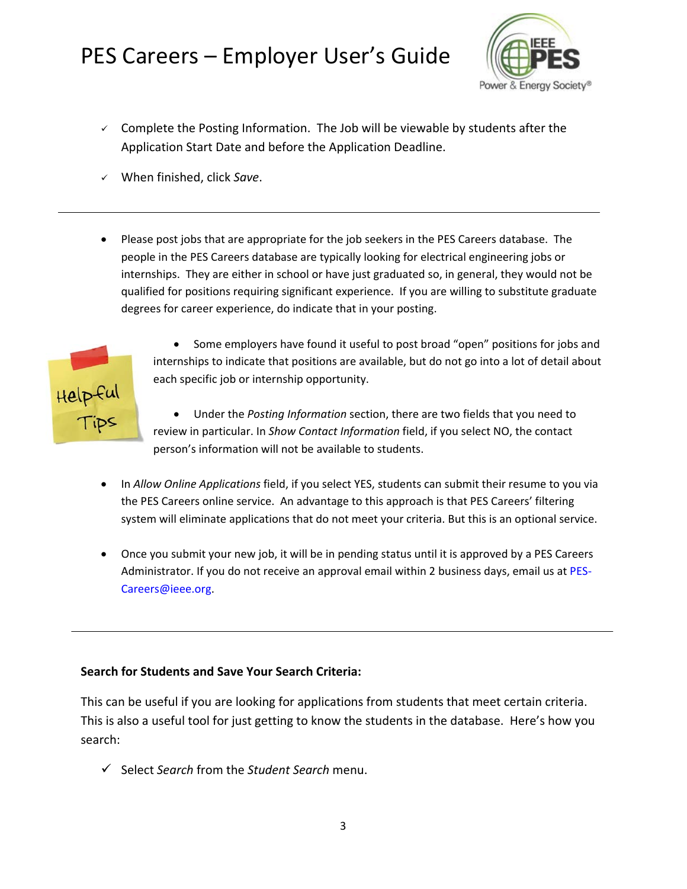

- $\checkmark$  Complete the Posting Information. The Job will be viewable by students after the Application Start Date and before the Application Deadline.
- When finished, click *Save*.
- Please post jobs that are appropriate for the job seekers in the PES Careers database. The people in the PES Careers database are typically looking for electrical engineering jobs or internships. They are either in school or have just graduated so, in general, they would not be qualified for positions requiring significant experience. If you are willing to substitute graduate degrees for career experience, do indicate that in your posting.



• Some employers have found it useful to post broad "open" positions for jobs and internships to indicate that positions are available, but do not go into a lot of detail about each specific job or internship opportunity.

• Under the *Posting Information* section, there are two fields that you need to review in particular. In *Show Contact Information* field, if you select NO, the contact person's information will not be available to students.

- In *Allow Online Applications* field, if you select YES, students can submit their resume to you via the PES Careers online service. An advantage to this approach is that PES Careers' filtering system will eliminate applications that do not meet your criteria. But this is an optional service.
- Once you submit your new job, it will be in pending status until it is approved by a PES Careers Administrator. If you do not receive an approval email within 2 business days, email us at [PES-](mailto:PES-Careers@ieee.org)[Careers@ieee.org.](mailto:PES-Careers@ieee.org)

#### **Search for Students and Save Your Search Criteria:**

This can be useful if you are looking for applications from students that meet certain criteria. This is also a useful tool for just getting to know the students in the database. Here's how you search:

Select *Search* from the *Student Search* menu.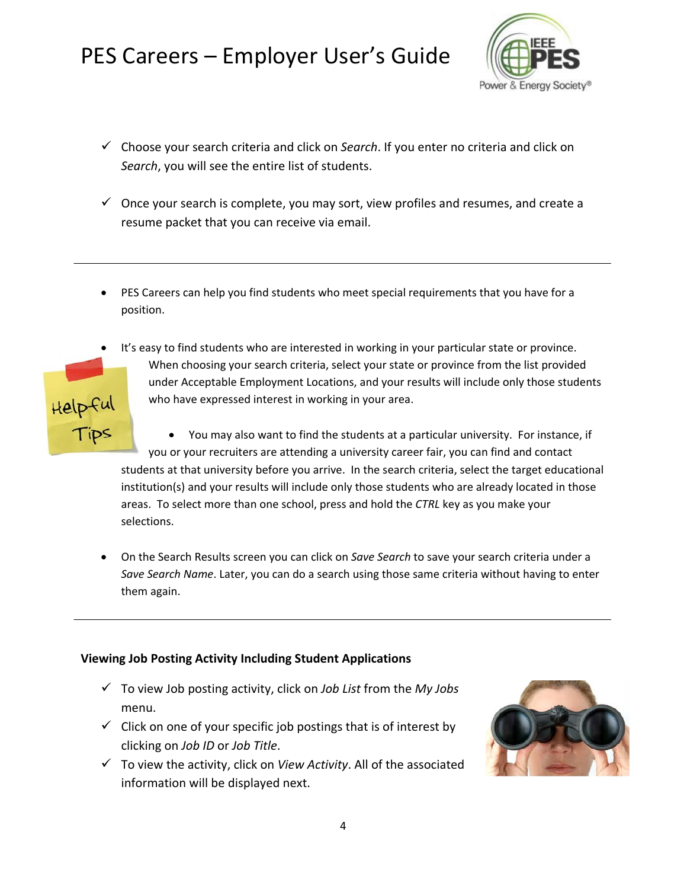

- Choose your search criteria and click on *Search*. If you enter no criteria and click on *Search*, you will see the entire list of students.
- $\checkmark$  Once your search is complete, you may sort, view profiles and resumes, and create a resume packet that you can receive via email.
- PES Careers can help you find students who meet special requirements that you have for a position.
- It's easy to find students who are interested in working in your particular state or province. When choosing your search criteria, select your state or province from the list provided under Acceptable Employment Locations, and your results will include only those students Helpful<br>Tips who have expressed interest in working in your area.

• You may also want to find the students at a particular university. For instance, if you or your recruiters are attending a university career fair, you can find and contact students at that university before you arrive. In the search criteria, select the target educational institution(s) and your results will include only those students who are already located in those areas. To select more than one school, press and hold the *CTRL* key as you make your selections.

• On the Search Results screen you can click on *Save Search* to save your search criteria under a *Save Search Name*. Later, you can do a search using those same criteria without having to enter them again.

#### **Viewing Job Posting Activity Including Student Applications**

- To view Job posting activity, click on *Job List* from the *My Jobs* menu.
- $\checkmark$  Click on one of your specific job postings that is of interest by clicking on *Job ID* or *Job Title*.
- $\checkmark$  To view the activity, click on *View Activity*. All of the associated information will be displayed next.

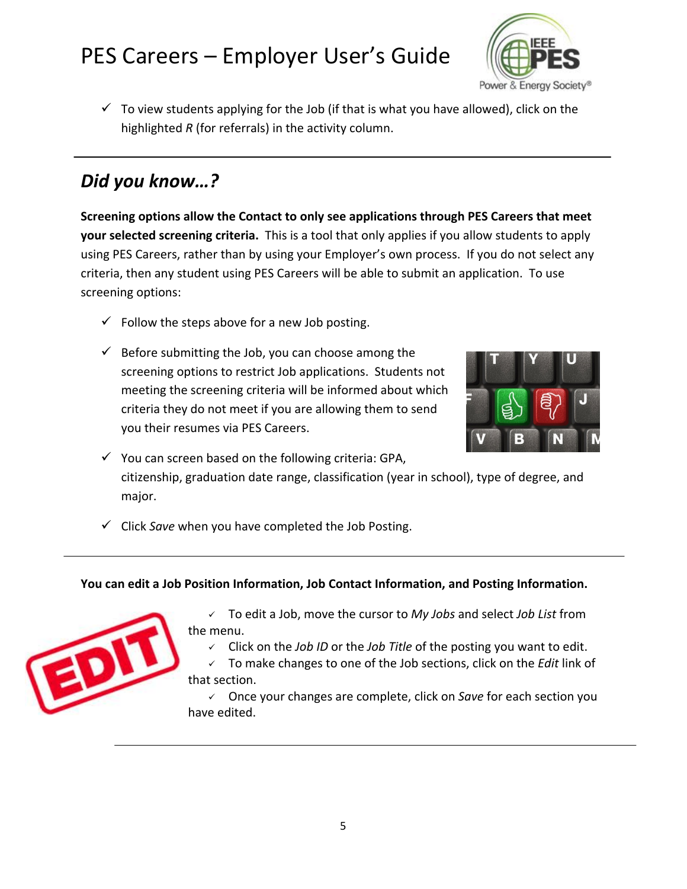

 $\checkmark$  To view students applying for the Job (if that is what you have allowed), click on the highlighted *R* (for referrals) in the activity column.

### *Did you know…?*

**Screening options allow the Contact to only see applications through PES Careers that meet your selected screening criteria.** This is a tool that only applies if you allow students to apply using PES Careers, rather than by using your Employer's own process. If you do not select any criteria, then any student using PES Careers will be able to submit an application. To use screening options:

- $\checkmark$  Follow the steps above for a new Job posting.
- $\checkmark$  Before submitting the Job, you can choose among the screening options to restrict Job applications. Students not meeting the screening criteria will be informed about which criteria they do not meet if you are allowing them to send you their resumes via PES Careers.



- $\checkmark$  You can screen based on the following criteria: GPA, citizenship, graduation date range, classification (year in school), type of degree, and major.
- $\checkmark$  Click *Save* when you have completed the Job Posting.

#### **You can edit a Job Position Information, Job Contact Information, and Posting Information.**



 To edit a Job, move the cursor to *My Jobs* and select *Job List* from the menu.

Click on the *Job ID* or the *Job Title* of the posting you want to edit.

 To make changes to one of the Job sections, click on the *Edit* link of that section.

 Once your changes are complete, click on *Save* for each section you have edited.